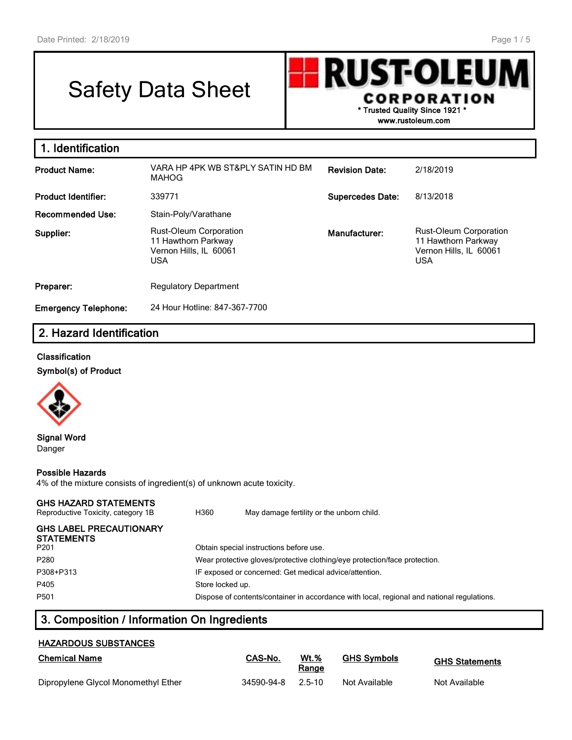# Safety Data Sheet



| 1. Identification           |                                                                                              |                         |                                                                                              |
|-----------------------------|----------------------------------------------------------------------------------------------|-------------------------|----------------------------------------------------------------------------------------------|
| <b>Product Name:</b>        | VARA HP 4PK WB ST&PLY SATIN HD BM<br><b>MAHOG</b>                                            | <b>Revision Date:</b>   | 2/18/2019                                                                                    |
| <b>Product Identifier:</b>  | 339771                                                                                       | <b>Supercedes Date:</b> | 8/13/2018                                                                                    |
| <b>Recommended Use:</b>     | Stain-Poly/Varathane                                                                         |                         |                                                                                              |
| Supplier:                   | <b>Rust-Oleum Corporation</b><br>11 Hawthorn Parkway<br>Vernon Hills, IL 60061<br><b>USA</b> | Manufacturer:           | <b>Rust-Oleum Corporation</b><br>11 Hawthorn Parkway<br>Vernon Hills, IL 60061<br><b>USA</b> |
| Preparer:                   | <b>Regulatory Department</b>                                                                 |                         |                                                                                              |
| <b>Emergency Telephone:</b> | 24 Hour Hotline: 847-367-7700                                                                |                         |                                                                                              |

# **2. Hazard Identification**

#### **Classification**

**Symbol(s) of Product**



**Signal Word** Danger

#### **Possible Hazards**

4% of the mixture consists of ingredient(s) of unknown acute toxicity.

## **GHS HAZARD STATEMENTS**

| Reproductive Toxicity, category 1B                  | H360             | May damage fertility or the unborn child.                                                  |
|-----------------------------------------------------|------------------|--------------------------------------------------------------------------------------------|
| <b>GHS LABEL PRECAUTIONARY</b><br><b>STATEMENTS</b> |                  |                                                                                            |
| P <sub>201</sub>                                    |                  | Obtain special instructions before use.                                                    |
| P <sub>280</sub>                                    |                  | Wear protective gloves/protective clothing/eye protection/face protection.                 |
| P308+P313                                           |                  | IF exposed or concerned: Get medical advice/attention.                                     |
| P405                                                | Store locked up. |                                                                                            |
| P <sub>501</sub>                                    |                  | Dispose of contents/container in accordance with local, regional and national regulations. |

# **3. Composition / Information On Ingredients**

## **HAZARDOUS SUBSTANCES**

| <b>Chemical Name</b>                | CAS-No.    | <b>Wt.%</b><br>Range | <b>GHS Symbols</b> | <b>GHS Statements</b> |
|-------------------------------------|------------|----------------------|--------------------|-----------------------|
| Dipropylene Glycol Monomethyl Ether | 34590-94-8 | 2.5-10               | Not Available      | Not Available         |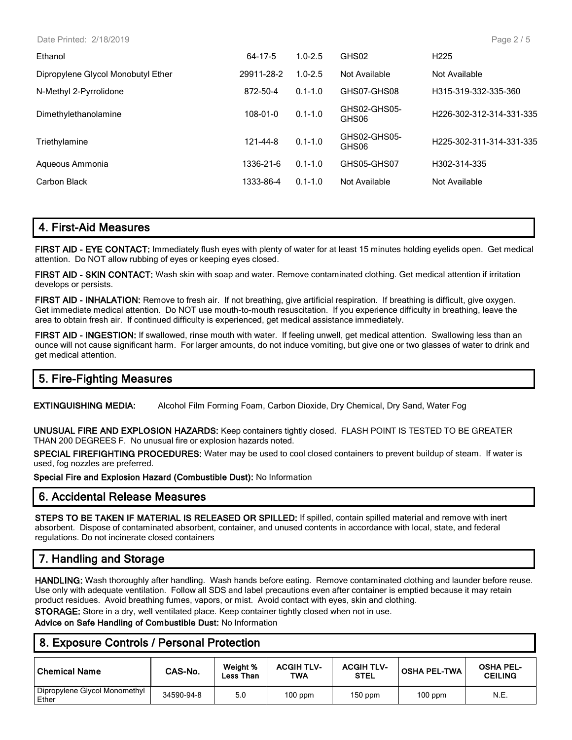Date Printed: 2/18/2019

| Ethanol                            | 64-17-5    | $1.0 - 2.5$ | GHS02                 | H <sub>225</sub>                      |
|------------------------------------|------------|-------------|-----------------------|---------------------------------------|
| Dipropylene Glycol Monobutyl Ether | 29911-28-2 | $1.0 - 2.5$ | Not Available         | Not Available                         |
| N-Methyl 2-Pyrrolidone             | 872-50-4   | $0.1 - 1.0$ | GHS07-GHS08           | H315-319-332-335-360                  |
| Dimethylethanolamine               | 108-01-0   | $0.1 - 1.0$ | GHS02-GHS05-<br>GHS06 | H <sub>226</sub> -302-312-314-331-335 |
| Triethylamine                      | 121-44-8   | $0.1 - 1.0$ | GHS02-GHS05-<br>GHS06 | H <sub>225</sub> -302-311-314-331-335 |
| Aqueous Ammonia                    | 1336-21-6  | $0.1 - 1.0$ | GHS05-GHS07           | H302-314-335                          |
| Carbon Black                       | 1333-86-4  | $0.1 - 1.0$ | Not Available         | Not Available                         |
|                                    |            |             |                       |                                       |

# **4. First-Aid Measures**

**FIRST AID - EYE CONTACT:** Immediately flush eyes with plenty of water for at least 15 minutes holding eyelids open. Get medical attention. Do NOT allow rubbing of eyes or keeping eyes closed.

**FIRST AID - SKIN CONTACT:** Wash skin with soap and water. Remove contaminated clothing. Get medical attention if irritation develops or persists.

**FIRST AID - INHALATION:** Remove to fresh air. If not breathing, give artificial respiration. If breathing is difficult, give oxygen. Get immediate medical attention. Do NOT use mouth-to-mouth resuscitation. If you experience difficulty in breathing, leave the area to obtain fresh air. If continued difficulty is experienced, get medical assistance immediately.

**FIRST AID - INGESTION:** If swallowed, rinse mouth with water. If feeling unwell, get medical attention. Swallowing less than an ounce will not cause significant harm. For larger amounts, do not induce vomiting, but give one or two glasses of water to drink and get medical attention.

# **5. Fire-Fighting Measures**

**EXTINGUISHING MEDIA:** Alcohol Film Forming Foam, Carbon Dioxide, Dry Chemical, Dry Sand, Water Fog

**UNUSUAL FIRE AND EXPLOSION HAZARDS:** Keep containers tightly closed. FLASH POINT IS TESTED TO BE GREATER THAN 200 DEGREES F. No unusual fire or explosion hazards noted.

**SPECIAL FIREFIGHTING PROCEDURES:** Water may be used to cool closed containers to prevent buildup of steam. If water is used, fog nozzles are preferred.

**Special Fire and Explosion Hazard (Combustible Dust):** No Information

# **6. Accidental Release Measures**

**STEPS TO BE TAKEN IF MATERIAL IS RELEASED OR SPILLED:** If spilled, contain spilled material and remove with inert absorbent. Dispose of contaminated absorbent, container, and unused contents in accordance with local, state, and federal regulations. Do not incinerate closed containers

# **7. Handling and Storage**

**HANDLING:** Wash thoroughly after handling. Wash hands before eating. Remove contaminated clothing and launder before reuse. Use only with adequate ventilation. Follow all SDS and label precautions even after container is emptied because it may retain product residues. Avoid breathing fumes, vapors, or mist. Avoid contact with eyes, skin and clothing.

**STORAGE:** Store in a dry, well ventilated place. Keep container tightly closed when not in use.

**Advice on Safe Handling of Combustible Dust:** No Information

# **8. Exposure Controls / Personal Protection**

| <b>Chemical Name</b>                   | CAS-No.    | Weight %<br>Less Than | <b>ACGIH TLV-</b><br>TWA | <b>ACGIH TLV-</b><br><b>STEL</b> | <b>OSHA PEL-TWA</b> | <b>OSHA PEL-</b><br><b>CEILING</b> |
|----------------------------------------|------------|-----------------------|--------------------------|----------------------------------|---------------------|------------------------------------|
| Dipropylene Glycol Monomethyl<br>Ether | 34590-94-8 | 5.0                   | $100$ ppm                | 150 ppm                          | $100$ ppm           | N.E.                               |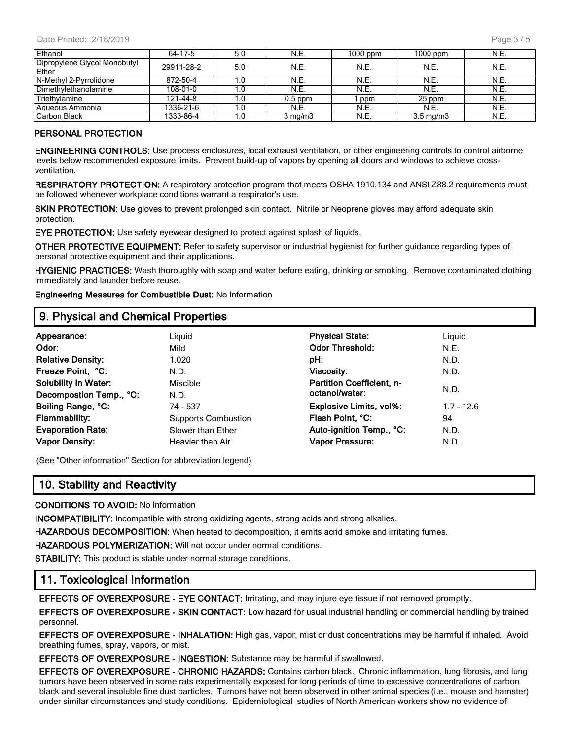| Ethanol                               | 64-17-5    | 5.0 | N.E.             | $1000$ ppm | $1000$ ppm         | N.E. |
|---------------------------------------|------------|-----|------------------|------------|--------------------|------|
| Dipropylene Glycol Monobutyl<br>Ether | 29911-28-2 | 5.0 | N.E.             | N.E.       | N.E.               | N.E. |
| N-Methyl 2-Pyrrolidone                | 872-50-4   | 1.0 | N.E.             | N.E.       | N.E.               | N.E. |
| Dimethylethanolamine                  | 108-01-0   |     | N.E.             | N.E.       | N.E.               | N.E. |
| Triethylamine                         | 121-44-8   | 1.0 | $0.5$ ppm        | ppm        | 25 ppm             | N.E. |
| Aqueous Ammonia                       | 1336-21-6  |     | N.E.             | N.E.       | N.E.               | N.E. |
| Carbon Black                          | 1333-86-4  | 1.0 | $3 \text{ mg/m}$ | N.E.       | $3.5 \text{ mg/m}$ | N.E. |

#### **PERSONAL PROTECTION**

**ENGINEERING CONTROLS:** Use process enclosures, local exhaust ventilation, or other engineering controls to control airborne levels below recommended exposure limits. Prevent build-up of vapors by opening all doors and windows to achieve crossventilation.

**RESPIRATORY PROTECTION:** A respiratory protection program that meets OSHA 1910.134 and ANSI Z88.2 requirements must be followed whenever workplace conditions warrant a respirator's use.

**SKIN PROTECTION:** Use gloves to prevent prolonged skin contact. Nitrile or Neoprene gloves may afford adequate skin protection.

**EYE PROTECTION:** Use safety eyewear designed to protect against splash of liquids.

**OTHER PROTECTIVE EQUIPMENT:** Refer to safety supervisor or industrial hygienist for further guidance regarding types of personal protective equipment and their applications.

**HYGIENIC PRACTICES:** Wash thoroughly with soap and water before eating, drinking or smoking. Remove contaminated clothing immediately and launder before reuse.

**Engineering Measures for Combustible Dust:** No Information

## **9. Physical and Chemical Properties**

| Appearance:<br>Odor:<br><b>Relative Density:</b><br>Freeze Point, °C:<br><b>Solubility in Water:</b> | Liguid<br>Mild<br>1.020<br>N.D.<br>Miscible                         | <b>Physical State:</b><br><b>Odor Threshold:</b><br>pH:<br><b>Viscosity:</b><br><b>Partition Coefficient, n-</b> | Liguid<br>N.E.<br>N.D.<br>N.D.     |
|------------------------------------------------------------------------------------------------------|---------------------------------------------------------------------|------------------------------------------------------------------------------------------------------------------|------------------------------------|
| Decompostion Temp., °C:<br>Boiling Range, °C:<br><b>Flammability:</b><br><b>Evaporation Rate:</b>    | N.D.<br>74 - 537<br><b>Supports Combustion</b><br>Slower than Ether | octanol/water:<br><b>Explosive Limits, vol%:</b><br>Flash Point, °C:<br>Auto-ignition Temp., °C:                 | N.D.<br>$1.7 - 12.6$<br>94<br>N.D. |
| <b>Vapor Density:</b>                                                                                | Heavier than Air                                                    | <b>Vapor Pressure:</b>                                                                                           | N.D.                               |

(See "Other information" Section for abbreviation legend)

# **10. Stability and Reactivity**

**CONDITIONS TO AVOID:** No Information

**INCOMPATIBILITY:** Incompatible with strong oxidizing agents, strong acids and strong alkalies.

**HAZARDOUS DECOMPOSITION:** When heated to decomposition, it emits acrid smoke and irritating fumes.

**HAZARDOUS POLYMERIZATION:** Will not occur under normal conditions.

**STABILITY:** This product is stable under normal storage conditions.

## **11. Toxicological Information**

**EFFECTS OF OVEREXPOSURE - EYE CONTACT:** Irritating, and may injure eye tissue if not removed promptly.

**EFFECTS OF OVEREXPOSURE - SKIN CONTACT:** Low hazard for usual industrial handling or commercial handling by trained personnel.

**EFFECTS OF OVEREXPOSURE - INHALATION:** High gas, vapor, mist or dust concentrations may be harmful if inhaled. Avoid breathing fumes, spray, vapors, or mist.

**EFFECTS OF OVEREXPOSURE - INGESTION:** Substance may be harmful if swallowed.

**EFFECTS OF OVEREXPOSURE - CHRONIC HAZARDS:** Contains carbon black. Chronic inflammation, lung fibrosis, and lung tumors have been observed in some rats experimentally exposed for long periods of time to excessive concentrations of carbon black and several insoluble fine dust particles. Tumors have not been observed in other animal species (i.e., mouse and hamster) under similar circumstances and study conditions. Epidemiological studies of North American workers show no evidence of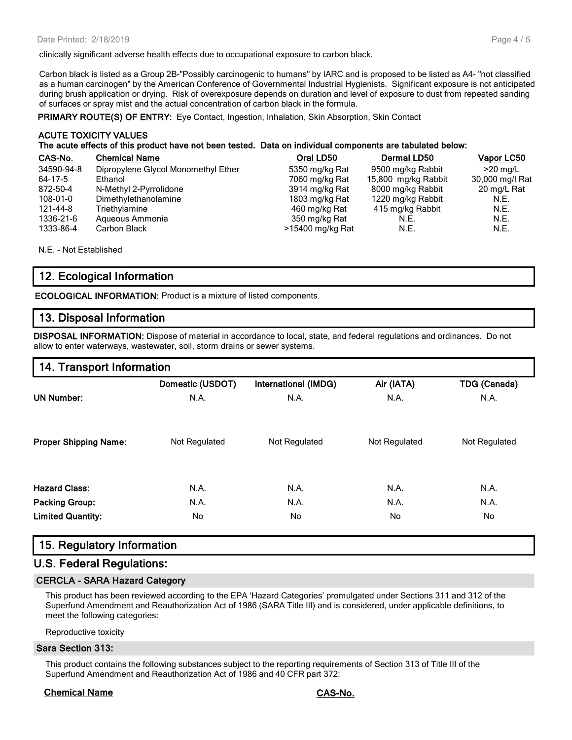clinically significant adverse health effects due to occupational exposure to carbon black.

Carbon black is listed as a Group 2B-"Possibly carcinogenic to humans" by IARC and is proposed to be listed as A4- "not classified as a human carcinogen" by the American Conference of Governmental Industrial Hygienists. Significant exposure is not anticipated during brush application or drying. Risk of overexposure depends on duration and level of exposure to dust from repeated sanding of surfaces or spray mist and the actual concentration of carbon black in the formula.

**PRIMARY ROUTE(S) OF ENTRY:** Eye Contact, Ingestion, Inhalation, Skin Absorption, Skin Contact

#### **ACUTE TOXICITY VALUES The acute effects of this product have not been tested. Data on individual components are tabulated below:**

| CAS-No.    | <b>Chemical Name</b>                | Oral LD50        | Dermal LD50         | <b>Vapor LC50</b> |
|------------|-------------------------------------|------------------|---------------------|-------------------|
| 34590-94-8 | Dipropylene Glycol Monomethyl Ether | 5350 mg/kg Rat   | 9500 mg/kg Rabbit   | $>20$ mg/L        |
| 64-17-5    | Ethanol                             | 7060 mg/kg Rat   | 15,800 mg/kg Rabbit | 30,000 mg/l Rat   |
| 872-50-4   | N-Methyl 2-Pyrrolidone              | 3914 mg/kg Rat   | 8000 mg/kg Rabbit   | 20 mg/L Rat       |
| 108-01-0   | Dimethylethanolamine                | 1803 mg/kg Rat   | 1220 mg/kg Rabbit   | N.E.              |
| 121-44-8   | Triethylamine                       | 460 mg/kg Rat    | 415 mg/kg Rabbit    | N.E.              |
| 1336-21-6  | Aqueous Ammonia                     | 350 mg/kg Rat    | N.E.                | N.E.              |
| 1333-86-4  | Carbon Black                        | >15400 mg/kg Rat | N.E.                | N.E.              |

N.E. - Not Established

# **12. Ecological Information**

**ECOLOGICAL INFORMATION:** Product is a mixture of listed components.

## **13. Disposal Information**

**DISPOSAL INFORMATION:** Dispose of material in accordance to local, state, and federal regulations and ordinances. Do not allow to enter waterways, wastewater, soil, storm drains or sewer systems.

# **14. Transport Information**

|                              | Domestic (USDOT) | <b>International (IMDG)</b> | Air (IATA)    | <b>TDG (Canada)</b> |
|------------------------------|------------------|-----------------------------|---------------|---------------------|
| <b>UN Number:</b>            | N.A.             | N.A.                        | N.A.          | N.A.                |
| <b>Proper Shipping Name:</b> | Not Regulated    | Not Regulated               | Not Regulated | Not Regulated       |
| <b>Hazard Class:</b>         | N.A.             | N.A.                        | N.A.          | N.A.                |
| <b>Packing Group:</b>        | N.A.             | N.A.                        | N.A.          | N.A.                |
| <b>Limited Quantity:</b>     | No               | No.                         | No.           | No                  |

# **15. Regulatory Information**

# **U.S. Federal Regulations:**

#### **CERCLA - SARA Hazard Category**

This product has been reviewed according to the EPA 'Hazard Categories' promulgated under Sections 311 and 312 of the Superfund Amendment and Reauthorization Act of 1986 (SARA Title III) and is considered, under applicable definitions, to meet the following categories:

Reproductive toxicity

#### **Sara Section 313:**

This product contains the following substances subject to the reporting requirements of Section 313 of Title III of the Superfund Amendment and Reauthorization Act of 1986 and 40 CFR part 372:

#### **Chemical Name CAS-No.**